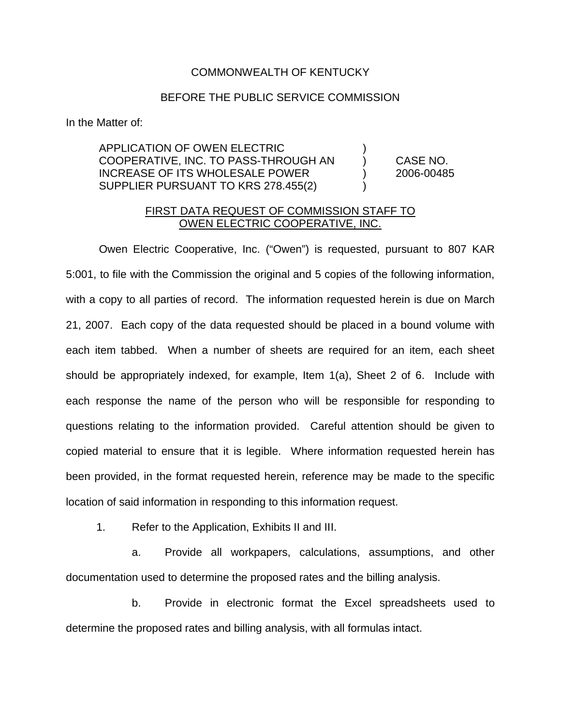## COMMONWEALTH OF KENTUCKY

## BEFORE THE PUBLIC SERVICE COMMISSION

In the Matter of:

APPLICATION OF OWEN ELECTRIC ) COOPERATIVE, INC. TO PASS-THROUGH AN ) CASE NO. INCREASE OF ITS WHOLESALE POWER ) 2006-00485 SUPPLIER PURSUANT TO KRS 278.455(2)

## FIRST DATA REQUEST OF COMMISSION STAFF TO OWEN ELECTRIC COOPERATIVE, INC.

Owen Electric Cooperative, Inc. ("Owen") is requested, pursuant to 807 KAR 5:001, to file with the Commission the original and 5 copies of the following information, with a copy to all parties of record. The information requested herein is due on March 21, 2007. Each copy of the data requested should be placed in a bound volume with each item tabbed. When a number of sheets are required for an item, each sheet should be appropriately indexed, for example, Item 1(a), Sheet 2 of 6. Include with each response the name of the person who will be responsible for responding to questions relating to the information provided. Careful attention should be given to copied material to ensure that it is legible. Where information requested herein has been provided, in the format requested herein, reference may be made to the specific location of said information in responding to this information request.

1. Refer to the Application, Exhibits II and III.

a. Provide all workpapers, calculations, assumptions, and other documentation used to determine the proposed rates and the billing analysis.

b. Provide in electronic format the Excel spreadsheets used to determine the proposed rates and billing analysis, with all formulas intact.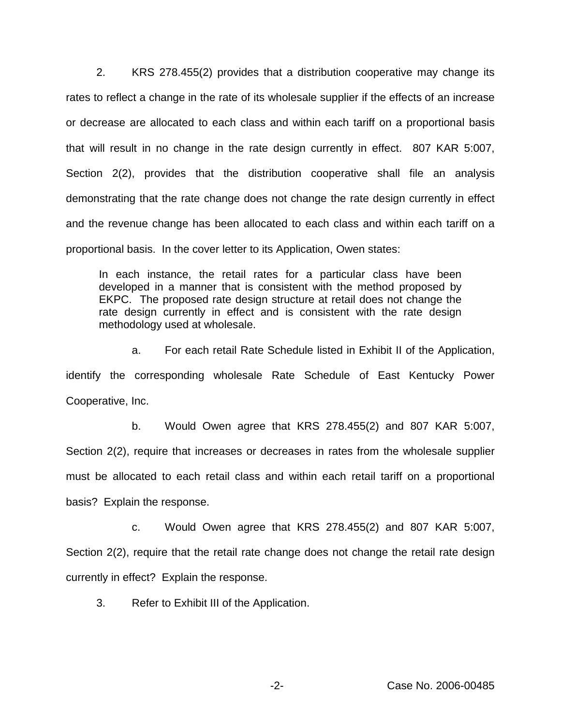2. KRS 278.455(2) provides that a distribution cooperative may change its rates to reflect a change in the rate of its wholesale supplier if the effects of an increase or decrease are allocated to each class and within each tariff on a proportional basis that will result in no change in the rate design currently in effect. 807 KAR 5:007, Section 2(2), provides that the distribution cooperative shall file an analysis demonstrating that the rate change does not change the rate design currently in effect and the revenue change has been allocated to each class and within each tariff on a proportional basis. In the cover letter to its Application, Owen states:

In each instance, the retail rates for a particular class have been developed in a manner that is consistent with the method proposed by EKPC. The proposed rate design structure at retail does not change the rate design currently in effect and is consistent with the rate design methodology used at wholesale.

a. For each retail Rate Schedule listed in Exhibit II of the Application, identify the corresponding wholesale Rate Schedule of East Kentucky Power Cooperative, Inc.

b. Would Owen agree that KRS 278.455(2) and 807 KAR 5:007, Section 2(2), require that increases or decreases in rates from the wholesale supplier must be allocated to each retail class and within each retail tariff on a proportional basis? Explain the response.

c. Would Owen agree that KRS 278.455(2) and 807 KAR 5:007, Section 2(2), require that the retail rate change does not change the retail rate design currently in effect? Explain the response.

3. Refer to Exhibit III of the Application.